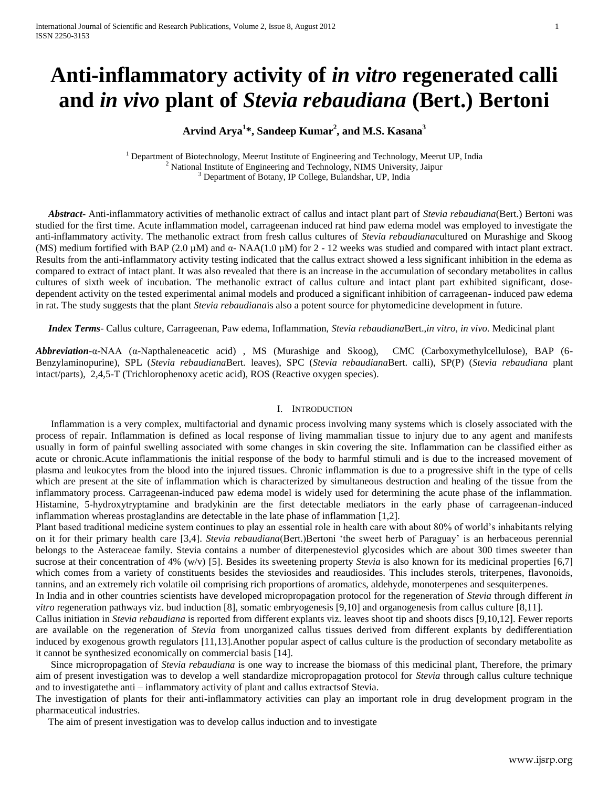# **Anti-inflammatory activity of** *in vitro* **regenerated calli and** *in vivo* **plant of** *Stevia rebaudiana* **(Bert.) Bertoni**

# **Arvind Arya<sup>1</sup> \*, Sandeep Kumar<sup>2</sup> , and M.S. Kasana<sup>3</sup>**

<sup>1</sup> Department of Biotechnology, Meerut Institute of Engineering and Technology, Meerut UP, India <sup>2</sup> National Institute of Engineering and Technology, NIMS University, Jaipur <sup>3</sup> Department of Botany, IP College, Bulandshar, UP, India

 *Abstract***-** Anti-inflammatory activities of methanolic extract of callus and intact plant part of *Stevia rebaudiana*(Bert.) Bertoni was studied for the first time. Acute inflammation model, carrageenan induced rat hind paw edema model was employed to investigate the anti-inflammatory activity. The methanolic extract from fresh callus cultures of *Stevia rebaudiana*cultured on Murashige and Skoog (MS) medium fortified with BAP (2.0 µM) and α- NAA(1.0 µM) for 2 - 12 weeks was studied and compared with intact plant extract. Results from the anti-inflammatory activity testing indicated that the callus extract showed a less significant inhibition in the edema as compared to extract of intact plant. It was also revealed that there is an increase in the accumulation of secondary metabolites in callus cultures of sixth week of incubation. The methanolic extract of callus culture and intact plant part exhibited significant, dosedependent activity on the tested experimental animal models and produced a significant inhibition of carrageenan- induced paw edema in rat. The study suggests that the plant *Stevia rebaudiana*is also a potent source for phytomedicine development in future.

 *Index Terms*- Callus culture, Carrageenan, Paw edema, Inflammation, *Stevia rebaudiana*Bert.,*in vitro, in vivo.* Medicinal plant

*Abbreviation-*α-NAA (α-Napthaleneacetic acid) , MS (Murashige and Skoog), CMC (Carboxymethylcellulose), BAP (6- Benzylaminopurine), SPL (*Stevia rebaudiana*Bert*.* leaves), SPC (*Stevia rebaudiana*Bert. calli), SP(P) (*Stevia rebaudiana* plant intact/parts), 2,4,5-T (Trichlorophenoxy acetic acid), ROS (Reactive oxygen species).

## I. INTRODUCTION

 Inflammation is a very complex, multifactorial and dynamic process involving many systems which is closely associated with the process of repair. Inflammation is defined as local response of living mammalian tissue to injury due to any agent and manifests usually in form of painful swelling associated with some changes in skin covering the site. Inflammation can be classified either as acute or chronic.Acute inflammationis the initial response of the body to harmful stimuli and is due to the increased movement of plasma and leukocytes from the blood into the injured tissues. Chronic inflammation is due to a progressive shift in the type of cells which are present at the site of inflammation which is characterized by simultaneous destruction and healing of the tissue from the inflammatory process. Carrageenan-induced paw edema model is widely used for determining the acute phase of the inflammation. Histamine, 5-hydroxytryptamine and bradykinin are the first detectable mediators in the early phase of carrageenan-induced inflammation whereas prostaglandins are detectable in the late phase of inflammation [1,2].

Plant based traditional medicine system continues to play an essential role in health care with about 80% of world"s inhabitants relying on it for their primary health care [3,4]. *Stevia rebaudiana*(Bert.)Bertoni "the sweet herb of Paraguay" is an herbaceous perennial belongs to the Asteraceae family. Stevia contains a number of diterpenesteviol glycosides which are about 300 times sweeter than sucrose at their concentration of 4% (w/v) [5]. Besides its sweetening property *Stevia* is also known for its medicinal properties [6,7] which comes from a variety of constituents besides the steviosides and reaudiosides. This includes sterols, triterpenes, flavonoids, tannins, and an extremely rich volatile oil comprising rich proportions of aromatics, aldehyde, monoterpenes and sesquiterpenes.

In India and in other countries scientists have developed micropropagation protocol for the regeneration of *Stevia* through different *in vitro* regeneration pathways viz. bud induction [8], somatic embryogenesis [9,10] and organogenesis from callus culture [8,11].

Callus initiation in *Stevia rebaudiana* is reported from different explants viz. leaves shoot tip and shoots discs [9,10,12]. Fewer reports are available on the regeneration of *Stevia* from unorganized callus tissues derived from different explants by dedifferentiation induced by exogenous growth regulators [11,13].Another popular aspect of callus culture is the production of secondary metabolite as it cannot be synthesized economically on commercial basis [14].

 Since micropropagation of *Stevia rebaudiana* is one way to increase the biomass of this medicinal plant, Therefore, the primary aim of present investigation was to develop a well standardize micropropagation protocol for *Stevia* through callus culture technique and to investigatethe anti – inflammatory activity of plant and callus extractsof Stevia.

The investigation of plants for their anti-inflammatory activities can play an important role in drug development program in the pharmaceutical industries.

The aim of present investigation was to develop callus induction and to investigate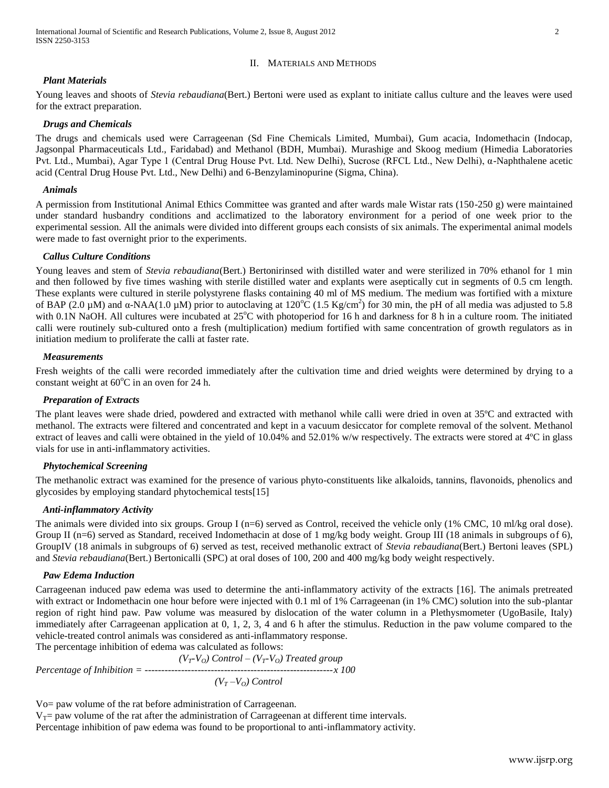## II. MATERIALS AND METHODS

## *Plant Materials*

Young leaves and shoots of *Stevia rebaudiana*(Bert.) Bertoni were used as explant to initiate callus culture and the leaves were used for the extract preparation.

## *Drugs and Chemicals*

The drugs and chemicals used were Carrageenan (Sd Fine Chemicals Limited, Mumbai), Gum acacia, Indomethacin (Indocap, Jagsonpal Pharmaceuticals Ltd., Faridabad) and Methanol (BDH, Mumbai). Murashige and Skoog medium (Himedia Laboratories Pvt. Ltd., Mumbai), Agar Type 1 (Central Drug House Pvt. Ltd. New Delhi), Sucrose (RFCL Ltd., New Delhi), α-Naphthalene acetic acid (Central Drug House Pvt. Ltd., New Delhi) and 6-Benzylaminopurine (Sigma, China).

## *Animals*

A permission from Institutional Animal Ethics Committee was granted and after wards male Wistar rats (150-250 g) were maintained under standard husbandry conditions and acclimatized to the laboratory environment for a period of one week prior to the experimental session. All the animals were divided into different groups each consists of six animals. The experimental animal models were made to fast overnight prior to the experiments.

## *Callus Culture Conditions*

Young leaves and stem of *Stevia rebaudiana*(Bert.) Bertonirinsed with distilled water and were sterilized in 70% ethanol for 1 min and then followed by five times washing with sterile distilled water and explants were aseptically cut in segments of 0.5 cm length. These explants were cultured in sterile polystyrene flasks containing 40 ml of MS medium. The medium was fortified with a mixture of BAP (2.0 µM) and  $\alpha$ -NAA(1.0 µM) prior to autoclaving at 120°C (1.5 Kg/cm<sup>2</sup>) for 30 min, the pH of all media was adjusted to 5.8 with 0.1N NaOH. All cultures were incubated at 25<sup>o</sup>C with photoperiod for 16 h and darkness for 8 h in a culture room. The initiated calli were routinely sub-cultured onto a fresh (multiplication) medium fortified with same concentration of growth regulators as in initiation medium to proliferate the calli at faster rate.

## *Measurements*

Fresh weights of the calli were recorded immediately after the cultivation time and dried weights were determined by drying to a constant weight at  $60^{\circ}$ C in an oven for 24 h.

## *Preparation of Extracts*

The plant leaves were shade dried, powdered and extracted with methanol while calli were dried in oven at 35ºC and extracted with methanol. The extracts were filtered and concentrated and kept in a vacuum desiccator for complete removal of the solvent. Methanol extract of leaves and calli were obtained in the yield of 10.04% and 52.01% w/w respectively. The extracts were stored at 4ºC in glass vials for use in anti-inflammatory activities.

## *Phytochemical Screening*

The methanolic extract was examined for the presence of various phyto-constituents like alkaloids, tannins, flavonoids, phenolics and glycosides by employing standard phytochemical tests[15]

## *Anti-inflammatory Activity*

The animals were divided into six groups. Group I (n=6) served as Control, received the vehicle only (1% CMC, 10 ml/kg oral dose). Group II (n=6) served as Standard, received Indomethacin at dose of 1 mg/kg body weight. Group III (18 animals in subgroups of 6), GroupIV (18 animals in subgroups of 6) served as test, received methanolic extract of *Stevia rebaudiana*(Bert.) Bertoni leaves (SPL) and *Stevia rebaudiana*(Bert.) Bertonicalli (SPC) at oral doses of 100, 200 and 400 mg/kg body weight respectively.

## *Paw Edema Induction*

Carrageenan induced paw edema was used to determine the anti-inflammatory activity of the extracts [16]. The animals pretreated with extract or Indomethacin one hour before were injected with 0.1 ml of 1% Carrageenan (in 1% CMC) solution into the sub-plantar region of right hind paw. Paw volume was measured by dislocation of the water column in a Plethysmometer (UgoBasile, Italy) immediately after Carrageenan application at 0, 1, 2, 3, 4 and 6 h after the stimulus. Reduction in the paw volume compared to the vehicle-treated control animals was considered as anti-inflammatory response.

The percentage inhibition of edema was calculated as follows:

 $(V_T$ <sup>*-V*</sup><sup>*O*</sup> $)$  Control –  $(V_T$ <sup>*-V*<sub>*O*</sub> $)$  Treated group</sup> *Percentage of Inhibition = ---------------------------------------------------------x 100*  $(V_T - V_O)$  *Control* 

Vo= paw volume of the rat before administration of Carrageenan.

 $V_T$ = paw volume of the rat after the administration of Carrageenan at different time intervals.

Percentage inhibition of paw edema was found to be proportional to anti-inflammatory activity.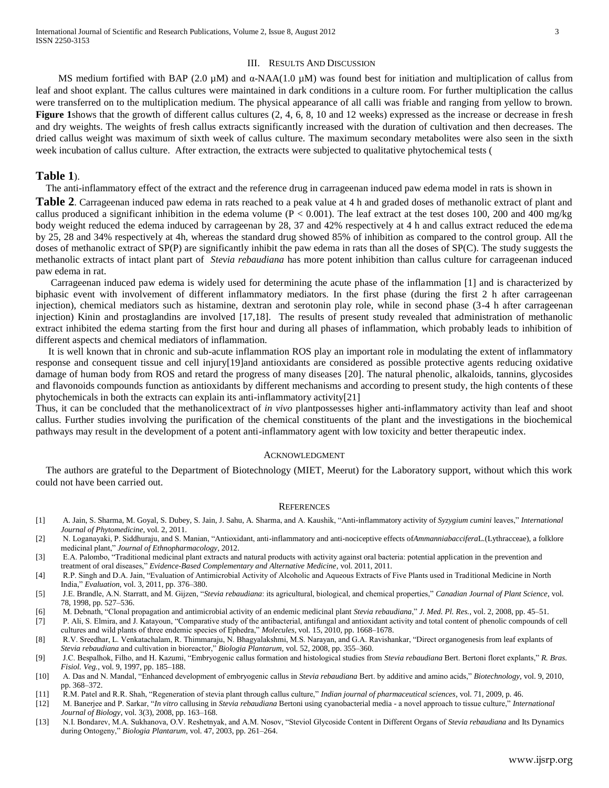#### III. RESULTS AND DISCUSSION

MS medium fortified with BAP (2.0  $\mu$ M) and  $\alpha$ -NAA(1.0  $\mu$ M) was found best for initiation and multiplication of callus from leaf and shoot explant. The callus cultures were maintained in dark conditions in a culture room. For further multiplication the callus were transferred on to the multiplication medium. The physical appearance of all calli was friable and ranging from yellow to brown. **[Figure 1](#page-3-0)**shows that the growth of different callus cultures (2, 4, 6, 8, 10 and 12 weeks) expressed as the increase or decrease in fresh and dry weights. The weights of fresh callus extracts significantly increased with the duration of cultivation and then decreases. The dried callus weight was maximum of sixth week of callus culture. The maximum secondary metabolites were also seen in the sixth week incubation of callus culture. After extraction, the extracts were subjected to qualitative phytochemical tests [\(](#page-3-1)

#### **[Table 1](#page-3-1)**).

The anti-inflammatory effect of the extract and the reference drug in carrageenan induced paw edema model in rats is shown in

**[Table 2](#page-4-0).** Carrageenan induced paw edema in rats reached to a peak value at 4 h and graded doses of methanolic extract of plant and callus produced a significant inhibition in the edema volume ( $P < 0.001$ ). The leaf extract at the test doses 100, 200 and 400 mg/kg body weight reduced the edema induced by carrageenan by 28, 37 and 42% respectively at 4 h and callus extract reduced the edema by 25, 28 and 34% respectively at 4h, whereas the standard drug showed 85% of inhibition as compared to the control group. All the doses of methanolic extract of SP(P) are significantly inhibit the paw edema in rats than all the doses of SP(C). The study suggests the methanolic extracts of intact plant part of *Stevia rebaudiana* has more potent inhibition than callus culture for carrageenan induced paw edema in rat.

 Carrageenan induced paw edema is widely used for determining the acute phase of the inflammation [1] and is characterized by biphasic event with involvement of different inflammatory mediators. In the first phase (during the first 2 h after carrageenan injection), chemical mediators such as histamine, dextran and serotonin play role, while in second phase (3-4 h after carrageenan injection) Kinin and prostaglandins are involved [17,18]. The results of present study revealed that administration of methanolic extract inhibited the edema starting from the first hour and during all phases of inflammation, which probably leads to inhibition of different aspects and chemical mediators of inflammation.

 It is well known that in chronic and sub-acute inflammation ROS play an important role in modulating the extent of inflammatory response and consequent tissue and cell injury[19]and antioxidants are considered as possible protective agents reducing oxidative damage of human body from ROS and retard the progress of many diseases [20]. The natural phenolic, alkaloids, tannins, glycosides and flavonoids compounds function as antioxidants by different mechanisms and according to present study, the high contents of these phytochemicals in both the extracts can explain its anti-inflammatory activity[21]

Thus, it can be concluded that the methanolicextract of *in vivo* plantpossesses higher anti-inflammatory activity than leaf and shoot callus. Further studies involving the purification of the chemical constituents of the plant and the investigations in the biochemical pathways may result in the development of a potent anti-inflammatory agent with low toxicity and better therapeutic index.

#### ACKNOWLEDGMENT

The authors are grateful to the Department of Biotechnology (MIET, Meerut) for the Laboratory support, without which this work could not have been carried out.

#### **REFERENCES**

- [1] A. Jain, S. Sharma, M. Goyal, S. Dubey, S. Jain, J. Sahu, A. Sharma, and A. Kaushik, "Anti-inflammatory activity of *Syzygium cumini* leaves," *International Journal of Phytomedicine*, vol. 2, 2011.
- [2] N. Loganayaki, P. Siddhuraju, and S. Manian, "Antioxidant, anti-inflammatory and anti-nociceptive effects of*Ammanniabaccifera*L.(Lythracceae), a folklore medicinal plant," *Journal of Ethnopharmacology*, 2012.
- [3] E.A. Palombo, "Traditional medicinal plant extracts and natural products with activity against oral bacteria: potential application in the prevention and treatment of oral diseases," *Evidence-Based Complementary and Alternative Medicine*, vol. 2011, 2011.
- [4] R.P. Singh and D.A. Jain, "Evaluation of Antimicrobial Activity of Alcoholic and Aqueous Extracts of Five Plants used in Traditional Medicine in North India," *Evaluation*, vol. 3, 2011, pp. 376–380.
- [5] J.E. Brandle, A.N. Starratt, and M. Gijzen, "*Stevia rebaudiana*: its agricultural, biological, and chemical properties," *Canadian Journal of Plant Science*, vol. 78, 1998, pp. 527–536.
- [6] M. Debnath, "Clonal propagation and antimicrobial activity of an endemic medicinal plant *Stevia rebaudiana*," *J. Med. Pl. Res.*, vol. 2, 2008, pp. 45–51.
- [7] P. Ali, S. Elmira, and J. Katayoun, "Comparative study of the antibacterial, antifungal and antioxidant activity and total content of phenolic compounds of cell cultures and wild plants of three endemic species of Ephedra," *Molecules*, vol. 15, 2010, pp. 1668–1678.
- [8] R.V. Sreedhar, L. Venkatachalam, R. Thimmaraju, N. Bhagyalakshmi, M.S. Narayan, and G.A. Ravishankar, "Direct organogenesis from leaf explants of *Stevia rebaudiana* and cultivation in bioreactor," *Biologia Plantarum*, vol. 52, 2008, pp. 355–360.
- [9] J.C. Bespalhok, Filho, and H. Kazumi, "Embryogenic callus formation and histological studies from *Stevia rebaudiana* Bert. Bertoni floret explants," *R. Bras. Fisiol. Veg.*, vol. 9, 1997, pp. 185–188.
- [10] A. Das and N. Mandal, "Enhanced development of embryogenic callus in *Stevia rebaudiana* Bert. by additive and amino acids," *Biotechnology*, vol. 9, 2010, pp. 368–372.
- [11] R.M. Patel and R.R. Shah, "Regeneration of stevia plant through callus culture," *Indian journal of pharmaceutical sciences*, vol. 71, 2009, p. 46.
- [12] M. Banerjee and P. Sarkar, "*In vitro* callusing in *Stevia rebaudiana* Bertoni using cyanobacterial media a novel approach to tissue culture," *International Journal of Biology*, vol. 3(3), 2008, pp. 163–168.
- [13] N.I. Bondarev, M.A. Sukhanova, O.V. Reshetnyak, and A.M. Nosov, "Steviol Glycoside Content in Different Organs of *Stevia rebaudiana* and Its Dynamics during Ontogeny," *Biologia Plantarum*, vol. 47, 2003, pp. 261–264.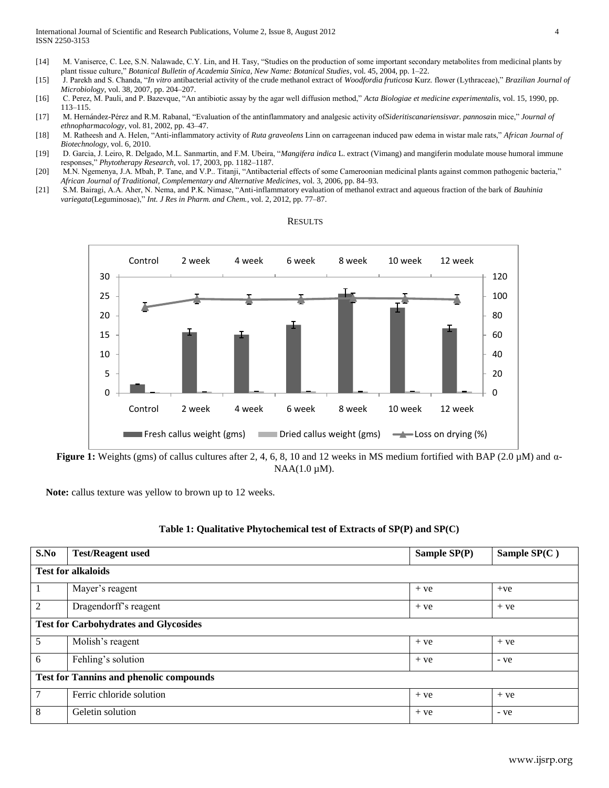- [14] M. Vaniserce, C. Lee, S.N. Nalawade, C.Y. Lin, and H. Tasy, "Studies on the production of some important secondary metabolites from medicinal plants by plant tissue culture," *Botanical Bulletin of Academia Sinica, New Name: Botanical Studies*, vol. 45, 2004, pp. 1–22.
- [15] J. Parekh and S. Chanda, "*In vitro* antibacterial activity of the crude methanol extract of *Woodfordia fruticosa* Kurz. flower (Lythraceae)," *Brazilian Journal of Microbiology*, vol. 38, 2007, pp. 204–207.
- [16] C. Perez, M. Pauli, and P. Bazevque, "An antibiotic assay by the agar well diffusion method," *Acta Biologiae et medicine experimentalis*, vol. 15, 1990, pp. 113–115.
- [17] M. Hernández-Pérez and R.M. Rabanal, "Evaluation of the antinflammatory and analgesic activity of*Sideritiscanariensisvar. pannosa*in mice," *Journal of ethnopharmacology*, vol. 81, 2002, pp. 43–47.
- [18] M. Ratheesh and A. Helen, "Anti-inflammatory activity of *Ruta graveolens* Linn on carrageenan induced paw edema in wistar male rats," *African Journal of Biotechnology*, vol. 6, 2010.
- [19] D. Garcia, J. Leiro, R. Delgado, M.L. Sanmartin, and F.M. Ubeira, "*Mangifera indica* L. extract (Vimang) and mangiferin modulate mouse humoral immune responses," *Phytotherapy Research*, vol. 17, 2003, pp. 1182–1187.
- [20] M.N. Ngemenya, J.A. Mbah, P. Tane, and V.P.. Titanji, "Antibacterial effects of some Cameroonian medicinal plants against common pathogenic bacteria," *African Journal of Traditional, Complementary and Alternative Medicines*, vol. 3, 2006, pp. 84–93.
- [21] S.M. Bairagi, A.A. Aher, N. Nema, and P.K. Nimase, "Anti-inflammatory evaluation of methanol extract and aqueous fraction of the bark of *Bauhinia variegata*(Leguminosae)," *Int. J Res in Pharm. and Chem.*, vol. 2, 2012, pp. 77–87.



**RESULTS** 

<span id="page-3-0"></span>**Figure 1:** Weights (gms) of callus cultures after 2, 4, 6, 8, 10 and 12 weeks in MS medium fortified with BAP (2.0 µM) and α- $NAA(1.0 \mu M)$ .

<span id="page-3-1"></span>**Note:** callus texture was yellow to brown up to 12 weeks.

| S.No                                           | <b>Test/Reagent used</b> | Sample $SP(P)$ | Sample $SP(C)$ |  |  |  |
|------------------------------------------------|--------------------------|----------------|----------------|--|--|--|
| <b>Test for alkaloids</b>                      |                          |                |                |  |  |  |
|                                                | Mayer's reagent          | $+ve$          | $+ve$          |  |  |  |
| $\overline{2}$                                 | Dragendorff's reagent    | $+ve$          | $+ve$          |  |  |  |
| <b>Test for Carbohydrates and Glycosides</b>   |                          |                |                |  |  |  |
| 5                                              | Molish's reagent         | $+ve$          | $+ve$          |  |  |  |
| 6                                              | Fehling's solution       | $+ve$          | - ye           |  |  |  |
| <b>Test for Tannins and phenolic compounds</b> |                          |                |                |  |  |  |
| 7                                              | Ferric chloride solution | $+ve$          | $+ve$          |  |  |  |
| 8                                              | Geletin solution         | $+ve$          | - ve           |  |  |  |

## **Table 1: Qualitative Phytochemical test of Extracts of SP(P) and SP(C)**